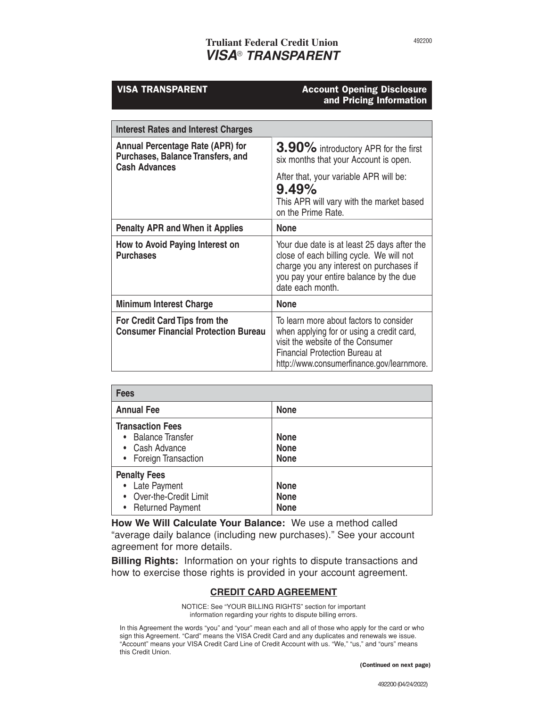# **Truliant Federal Credit Union** *VISA*® *TRANSPARENT*

## VISA TRANSPARENT Account Opening Disclosure and Pricing Information

| <b>Interest Rates and Interest Charges</b>                                                                  |                                                                                                                                                                                                          |  |
|-------------------------------------------------------------------------------------------------------------|----------------------------------------------------------------------------------------------------------------------------------------------------------------------------------------------------------|--|
| <b>Annual Percentage Rate (APR) for</b><br><b>Purchases, Balance Transfers, and</b><br><b>Cash Advances</b> | 3.90% introductory APR for the first<br>six months that your Account is open.                                                                                                                            |  |
|                                                                                                             | After that, your variable APR will be:<br>9.49%<br>This APR will vary with the market based<br>on the Prime Rate.                                                                                        |  |
| <b>Penalty APR and When it Applies</b>                                                                      | <b>None</b>                                                                                                                                                                                              |  |
| How to Avoid Paying Interest on<br><b>Purchases</b>                                                         | Your due date is at least 25 days after the<br>close of each billing cycle. We will not<br>charge you any interest on purchases if<br>you pay your entire balance by the due<br>date each month.         |  |
| <b>Minimum Interest Charge</b>                                                                              | <b>None</b>                                                                                                                                                                                              |  |
| For Credit Card Tips from the<br><b>Consumer Financial Protection Bureau</b>                                | To learn more about factors to consider<br>when applying for or using a credit card,<br>visit the website of the Consumer<br>Financial Protection Bureau at<br>http://www.consumerfinance.gov/learnmore. |  |

| <b>Fees</b>                                                                                   |                                           |  |
|-----------------------------------------------------------------------------------------------|-------------------------------------------|--|
| <b>Annual Fee</b>                                                                             | <b>None</b>                               |  |
| <b>Transaction Fees</b><br><b>Balance Transfer</b><br>• Cash Advance<br>• Foreign Transaction | <b>None</b><br><b>None</b><br><b>None</b> |  |
| <b>Penalty Fees</b><br>• Late Payment<br>• Over-the-Credit Limit<br>• Returned Payment        | <b>None</b><br><b>None</b><br><b>None</b> |  |

**How We Will Calculate Your Balance:** We use a method called "average daily balance (including new purchases)." See your account agreement for more details.

**Billing Rights:** Information on your rights to dispute transactions and how to exercise those rights is provided in your account agreement.

## **CREDIT CARD AGREEMENT**

NOTICE: See "YOUR BILLING RIGHTS" section for important information regarding your rights to dispute billing errors.

In this Agreement the words "you" and "your" mean each and all of those who apply for the card or who sign this Agreement. "Card" means the VISA Credit Card and any duplicates and renewals we issue. "Account" means your VISA Credit Card Line of Credit Account with us. "We," "us," and "ours" means this Credit Union.

(Continued on next page)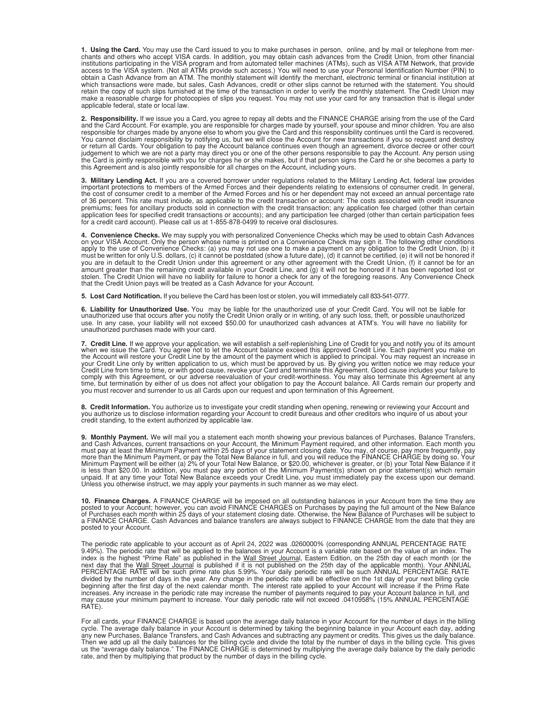1. Using the Card. You may use the Card issued to you to make purchases in person, online, and by mail or telephone from mer-<br>chants and others who accept VISA cards. In addition, you may obtain cash advances from the Cred institutions participating in the VISA program and from automated teller machines (ATMs), such as VISA ATM Network, that provide access to the VISA system. (Not all ATMs provide such access.) You will need to use your Personal Identification Number (PIN) to<br>obtain a Cash Advance from an ATM. The monthly statement will identify the merchant, electron which transactions were made, but sales, Cash Advances, credit or other slips cannot be returned with the statement. You should retain the copy of such slips furnished at the time of the transaction in order to verify the monthly statement. The Credit Union may<br>make a reasonable charge for photocopies of slips you request. You may not use your card applicable federal, state or local law.

**2. Responsibility.** If we issue you a Card, you agree to repay all debts and the FINANCE CHARGE arising from the use of the Card<br>and the Card Account. For example, you are responsible for charges made by yourself, your sp responsible for charges made by anyone else to whom you give the Card and this responsibility continues until the Card is recovered. You cannot disclaim responsibility by notifying us, but we will close the Account for new transactions if you so request and destroy or return all Cards. Your obligation to pay the Account balance continues even though an agreement, divorce decree or other court judgement to which we are not a party may direct you or one of the other persons responsible to pay the Account. Any person using<br>the Card is jointly responsible with you for charges he or she makes, but if that person sig this Agreement and is also jointly responsible for all charges on the Account, including yours.

**3. Military Lending Act.** If you are a covered borrower under regulations related to the Military Lending Act, federal law provides<br>important protections to members of the Armed Forces and their dependents relating to ext of 36 percent. This rate must include, as applicable to the credit transaction or account: The costs associated with credit insurance premiums; fees for ancillary products sold in connection with the credit transaction; any application fee charged (other than certain<br>application fees for specified credit transactions or accounts); and any participation f for a credit card account). Please call us at 1-855-878-0499 to receive oral disclosures.

**4. Convenience Checks.** We may supply you with personalized Convenience Checks which may be used to obtain Cash Advances on your VISA Account. Only the person whose name is printed on a Convenience Check may sign it. The following other conditions<br>apply to the use of Convenience Checks: (a) you may not use one to make a payment on any obliga must be written for only U.S. dollars, (c) it cannot be postdated (show a future date), (d) it cannot be certified, (e) it will not be honored if<br>you are in default to the Credit Union under this agreement or any other agr that the Credit Union pays will be treated as a Cash Advance for your Account.

**5. Lost Card Notification.** If you believe the Card has been lost or stolen, you will immediately call 833-541-0777.

6. Liability for Unauthorized Use. You may be liable for the unauthorized use of your Credit Card. You will not be liable for<br>unauthorized use that occurs after you notify the Credit Union orally or in writing, of any such use. In any case, your liability will not exceed \$50.00 for unauthorized cash advances at ATM's. You will have no liability for unauthorized purchases made with your card.

7. Credit Line. If we approve your application, we will establish a self-replenishing Line of Credit for you and notify you of its amount<br>when we issue the Card. You agree not to let the Account balance exceed this approve comply with this Agreement, or our adverse reevaluation of your credit-worthiness. You may also terminate this Agreement at any time, but termination by either of us does not affect your obligation to pay the Account balance. All Cards remain our property and<br>you must recover and surrender to us all Cards upon our request and upon termination of th

**8. Credit Information.** You authorize us to investigate your credit standing when opening, renewing or reviewing your Account and<br>you authorize us to disclose information regarding your Account to credit bureaus and other

**9. Monthly Payment.** We will mail you a statement each month showing your previous balances of Purchases, Balance Transfers, and Cash Advances, current transactions on your Account, the Minimum Payment required, and other Unless you otherwise instruct, we may apply your payments in such manner as we may elect.

10. Finance Charges. A FINANCE CHARGE will be imposed on all outstanding balances in your Account from the time they are<br>posted to your Account; however, you can avoid FINANCE CHARGES on Purchases by paying the full amount a FINANCE CHARGE. Cash Advances and balance transfers are always subject to FINANCE CHARGE from the date that they are posted to your Account.

The periodic rate applicable to your account as of April 24, 2022 was .0260000% (corresponding ANNUAL PERCENTAGE RATE 9.49%). The periodic rate that will be applied to the balances in your Account is a variable rate based

For all cards, your FINANCE CHARGE is based upon the average daily balance in your Account for the number of days in the billing cycle. The average daily balance in your Account is determined by taking the beginning balance in your Account each day, adding<br>any new Purchases, Balance Transfers, and Cash Advances and subtracting any payment or credits rate, and then by multiplying that product by the number of days in the billing cycle.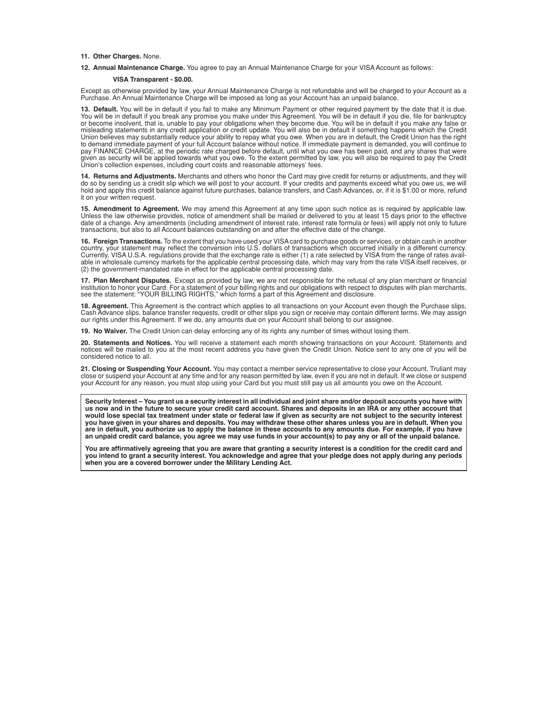### **11. Other Charges.** None.

**12. Annual Maintenance Charge.** You agree to pay an Annual Maintenance Charge for your VISA Account as follows:

#### **VISA Transparent - \$0.00.**

Except as otherwise provided by law, your Annual Maintenance Charge is not refundable and will be charged to your Account as a<br>Purchase. An Annual Maintenance Charge will be imposed as long as your Account has an unpaid ba

**13. Default.** You will be in default if you fail to make any Minimum Payment or other required payment by the date that it is due. You will be in default if you break any promise you make under this Agreement. You will be in default if you die, file for bankruptcy<br>or become insolvent, that is, unable to pay your obligations when they become due. You w misleading statements in any credit application or credit update. You will also be in default if something happens which the Credit Union believes may substantially reduce your ability to repay what you owe. When you are in default, the Credit Union has the right<br>to demand immediate payment of your full Account balance without notice. If immediate paym pay FINANCE CHARGE, at the periodic rate charged before default, until what you owe has been paid, and any shares that were given as security will be applied towards what you owe. To the extent permitted by law, you will also be required to pay the Credit Union's collection expenses, including court costs and reasonable attorneys' fees.

**14. Returns and Adjustments.** Merchants and others who honor the Card may give credit for returns or adjustments, and they will<br>do so by sending us a credit slip which we will post to your account. If your credits and pa hold and apply this credit balance against future purchases, balance transfers, and Cash Advances, or, if it is \$1.00 or more, refund it on your written request.

15. Amendment to Agreement. We may amend this Agreement at any time upon such notice as is required by applicable law.<br>Unless the law otherwise provides, notice of amendment shall be mailed or delivered to you at least 15 date of a change. Any amendments (including amendment of interest rate, interest rate formula or fees) will apply not only to future<br>transactions, but also to all Account balances outstanding on and after the effective dat

**16. Foreign Transactions.** To the extent that you have used your VISA card to purchase goods or services, or obtain cash in another<br>country, your statement may reflect the conversion into U.S. dollars of transactions whic Currently, VISA U.S.A. regulations provide that the exchange rate is either (1) a rate selected by VISA from the range of rates avail-<br>able in wholesale currency markets for the applicable central processing date, which ma (2) the government-mandated rate in effect for the applicable central processing date.

**17. Plan Merchant Disputes.** Except as provided by law, we are not responsible for the refusal of any plan merchant or financial institution to honor your Card. For a statement of your billing rights and our obligations with respect to disputes with plan merchants, see the statement: "YOUR BILLING RIGHTS," which forms a part of this Agreement and disclosure.

**18. Agreement.** This Agreement is the contract which applies to all transactions on your Account even though the Purchase slips, Cash Advance slips, balance transfer requests, credit or other slips you sign or receive may contain different terms. We may assign our rights under this Agreement. If we do, any amounts due on your Account shall belong to our assignee.

**19. No Waiver.** The Credit Union can delay enforcing any of its rights any number of times without losing them.

20. Statements and Notices. You will receive a statement each month showing transactions on your Account. Statements and<br>notices will be mailed to you at the most recent address you have given the Credit Union. Notice sent considered notice to all.

**21. Closing or Suspending Your Account.** You may contact a member service representative to close your Account. Truliant may close or suspend your Account at any time and for any reason permitted by law, even if you are not in default. If we close or suspend your Account for any reason, you must stop using your Card but you must still pay us all amounts you owe on the Account.

**Security Interest – You grant us a security interest in all individual and joint share and/or deposit accounts you have with us now and in the future to secure your credit card account. Shares and deposits in an IRA or any other account that would lose special tax treatment under state or federal law if given as security are not subject to the security interest you have given in your shares and deposits. You may withdraw these other shares unless you are in default. When you are in default, you authorize us to apply the balance in these accounts to any amounts due. For example, if you have an unpaid credit card balance, you agree we may use funds in your account(s) to pay any or all of the unpaid balance.**

You are affirmatively agreeing that you are aware that granting a security interest is a condition for the credit card and **you intend to grant a security interest. You acknowledge and agree that your pledge does not apply during any periods when you are a covered borrower under the Military Lending Act.**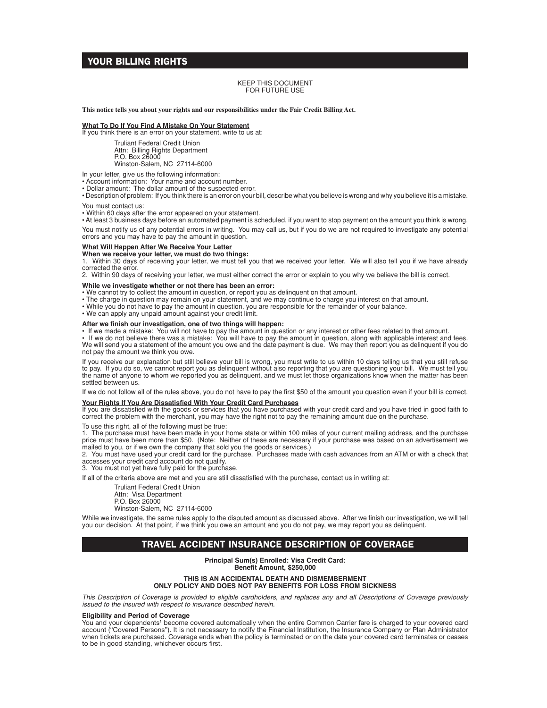## YOUR BILLING RIGHTS

#### KEEP THIS DOCUMENT FOR FUTURE USE

**This notice tells you about your rights and our responsibilities under the Fair Credit Billing Act.**

**What To Do If You Find A Mistake On Your Statement** If you think there is an error on your statement, write to us at:

Truliant Federal Credit Union Attn: Billing Rights Department P.O. Box 26000 Winston-Salem, NC 27114-6000

In your letter, give us the following information:

• Account information: Your name and account number.

• Dollar amount: The dollar amount of the suspected error.

• Description of problem: If you think there is an error on your bill, describe what you believe is wrong and why you believe it is a mistake. You must contact us:

• Within 60 days after the error appeared on your statement.

• At least 3 business days before an automated payment is scheduled, if you want to stop payment on the amount you think is wrong. You must notify us of any potential errors in writing. You may call us, but if you do we are not required to investigate any potential errors and you may have to pay the amount in question.

#### **What Will Happen After We Receive Your Letter**

**When we receive your letter, we must do two things:**

1. Within 30 days of receiving your letter, we must tell you that we received your letter. We will also tell you if we have already corrected the error.

2. Within 90 days of receiving your letter, we must either correct the error or explain to you why we believe the bill is correct.

### **While we investigate whether or not there has been an error:**

- We cannot try to collect the amount in question, or report you as delinquent on that amount.
- The charge in question may remain on your statement, and we may continue to charge you interest on that amount.
- While you do not have to pay the amount in question, you are responsible for the remainder of your balance.
- We can apply any unpaid amount against your credit limit.

**After we finish our investigation, one of two things will happen:**<br>• If we made a mistake: You will not have to pay the amount in question or any interest or other fees related to that amount.<br>• If we do not believe there not pay the amount we think you owe.

If you receive our explanation but still believe your bill is wrong, you must write to us within 10 days telling us that you still refuse<br>to pay. If you do so, we cannot report you as delinquent without also reporting tha settled between us.

If we do not follow all of the rules above, you do not have to pay the first \$50 of the amount you question even if your bill is correct.

#### **Your Rights If You Are Dissatisfied With Your Credit Card Purchases**

If you are dissatisfied with the goods or services that you have purchased with your credit card and you have tried in good faith to correct the problem with the merchant, you may have the right not to pay the remaining amount due on the purchase.

To use this right, all of the following must be true:

1. The purchase must have been made in your home state or within 100 miles of your current mailing address, and the purchase price must have been more than \$50. (Note: Neither of these are necessary if your purchase was based on an advertisement we mailed to you, or if we own the company that sold you the goods or services.)

2. You must have used your credit card for the purchase. Purchases made with cash advances from an ATM or with a check that accesses your credit card account do not qualify.

3. You must not yet have fully paid for the purchase.

If all of the criteria above are met and you are still dissatisfied with the purchase, contact us in writing at:

Truliant Federal Credit Union

Attn: Visa Department P.O. Box 26000

Winston-Salem, NC 27114-6000

While we investigate, the same rules apply to the disputed amount as discussed above. After we finish our investigation, we will tell you our decision. At that point, if we think you owe an amount and you do not pay, we may report you as delinquent.

## TRAVEL ACCIDENT INSURANCE DESCRIPTION OF COVERAGE

**Principal Sum(s) Enrolled: Visa Credit Card: Benefit Amount, \$250,000**

## **THIS IS AN ACCIDENTAL DEATH AND DISMEMBERMENT**

**ONLY POLICY AND DOES NOT PAY BENEFITS FOR LOSS FROM SICKNESS**

*This Description of Coverage is provided to eligible cardholders, and replaces any and all Descriptions of Coverage previously issued to the insured with respect to insurance described herein.*

### **Eligibility and Period of Coverage**

You and your dependents<sup>1</sup> become covered automatically when the entire Common Carrier fare is charged to your covered card account ("Covered Persons"). It is not necessary to notify the Financial Institution, the Insurance Company or Plan Administrator when tickets are purchased. Coverage ends when the policy is terminated or on the date your covered card terminates or ceases to be in good standing, whichever occurs first.